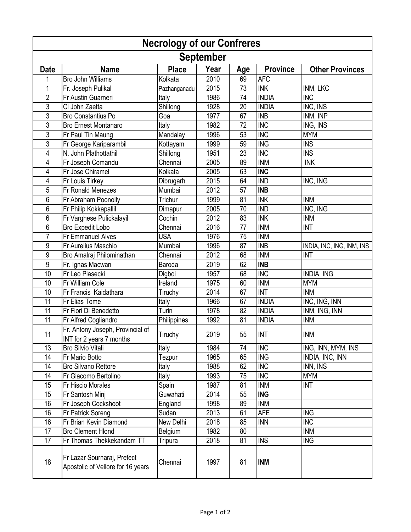| <b>Necrology of our Confreres</b> |                                                                  |              |      |     |                 |                           |  |  |  |  |
|-----------------------------------|------------------------------------------------------------------|--------------|------|-----|-----------------|---------------------------|--|--|--|--|
| <b>September</b>                  |                                                                  |              |      |     |                 |                           |  |  |  |  |
| <b>Date</b>                       | <b>Name</b>                                                      | <b>Place</b> | Year | Age | <b>Province</b> | <b>Other Provinces</b>    |  |  |  |  |
| 1                                 | <b>Bro John Williams</b>                                         | Kolkata      | 2010 | 69  | <b>AFC</b>      |                           |  |  |  |  |
| 1                                 | Fr. Joseph Pulikal                                               | Pazhanganadu | 2015 | 73  | <b>INK</b>      | INM, LKC                  |  |  |  |  |
| $\overline{2}$                    | Fr Austin Guarneri                                               | Italy        | 1986 | 74  | <b>INDIA</b>    | $\overline{\text{INC}}$   |  |  |  |  |
| 3                                 | CI John Zaetta                                                   | Shillong     | 1928 | 20  | <b>INDIA</b>    | INC, INS                  |  |  |  |  |
| 3                                 | <b>Bro Constantius Po</b>                                        | Goa          | 1977 | 67  | <b>INB</b>      | INM, INP                  |  |  |  |  |
| 3                                 | <b>Bro Ernest Montanaro</b>                                      | Italy        | 1982 | 72  | <b>INC</b>      | ING, INS                  |  |  |  |  |
| 3                                 | Fr Paul Tin Maung                                                | Mandalay     | 1996 | 53  | <b>INC</b>      | <b>MYM</b>                |  |  |  |  |
| 3                                 | Fr George Kariparambil                                           | Kottayam     | 1999 | 59  | <b>ING</b>      | <b>INS</b>                |  |  |  |  |
| 4                                 | N. John Plathottathil                                            | Shillong     | 1951 | 23  | <b>INC</b>      | <b>INS</b>                |  |  |  |  |
| 4                                 | Fr Joseph Comandu                                                | Chennai      | 2005 | 89  | <b>INM</b>      | <b>INK</b>                |  |  |  |  |
| 4                                 | Fr Jose Chiramel                                                 | Kolkata      | 2005 | 63  | <b>INC</b>      |                           |  |  |  |  |
| 4                                 | Fr Louis Tirkey                                                  | Dibrugarh    | 2015 | 64  | <b>IND</b>      | INC, ING                  |  |  |  |  |
| 5                                 | Fr Ronald Menezes                                                | Mumbai       | 2012 | 57  | <b>INB</b>      |                           |  |  |  |  |
| 6                                 | Fr Abraham Poonolly                                              | Trichur      | 1999 | 81  | <b>INK</b>      | <b>INM</b>                |  |  |  |  |
| 6                                 | Fr Philip Kokkapallil                                            | Dimapur      | 2005 | 70  | <b>IND</b>      | INC, ING                  |  |  |  |  |
| 6                                 | Fr Varghese Pulickalayil                                         | Cochin       | 2012 | 83  | <b>INK</b>      | <b>INM</b>                |  |  |  |  |
| 6                                 | Bro Expedit Lobo                                                 | Chennai      | 2016 | 77  | <b>INM</b>      | <b>INT</b>                |  |  |  |  |
| $\overline{7}$                    | Fr Emmanuel Alves                                                | <b>USA</b>   | 1976 | 75  | <b>INM</b>      |                           |  |  |  |  |
| 9                                 | Fr Aurelius Maschio                                              | Mumbai       | 1996 | 87  | <b>INB</b>      | INDIA, INC, ING, INM, INS |  |  |  |  |
| 9                                 | Bro Amalraj Philominathan                                        | Chennai      | 2012 | 68  | <b>INM</b>      | <b>INT</b>                |  |  |  |  |
| 9                                 | Fr. Ignas Macwan                                                 | Baroda       | 2019 | 62  | <b>INB</b>      |                           |  |  |  |  |
| 10                                | Fr Leo Piasecki                                                  | Digboi       | 1957 | 68  | <b>INC</b>      | <b>INDIA, ING</b>         |  |  |  |  |
| 10                                | Fr William Cole                                                  | Ireland      | 1975 | 60  | <b>INM</b>      | <b>MYM</b>                |  |  |  |  |
| 10                                | Fr Francis Kaidathara                                            | Tiruchy      | 2014 | 67  | <b>INT</b>      | <b>INM</b>                |  |  |  |  |
| 11                                | Fr Elias Tome                                                    | Italy        | 1966 | 67  | <b>INDIA</b>    | INC, ING, INN             |  |  |  |  |
| 11                                | Fr Fiori Di Benedetto                                            | Turin        | 1978 | 82  | <b>INDIA</b>    | INM, ING, INN             |  |  |  |  |
| 11                                | Fr Alfred Cogliandro                                             | Philippines  | 1992 | 81  | <b>INDIA</b>    | <b>INM</b>                |  |  |  |  |
| 11                                | Fr. Antony Joseph, Provincial of                                 | Tiruchy      | 2019 | 55  | <b>INT</b>      | <b>INM</b>                |  |  |  |  |
|                                   | INT for 2 years 7 months                                         |              |      |     |                 |                           |  |  |  |  |
| 13                                | <b>Bro Silvio Vitali</b>                                         | Italy        | 1984 | 74  | <b>INC</b>      | ING, INN, MYM, INS        |  |  |  |  |
| 14                                | Fr Mario Botto                                                   | Tezpur       | 1965 | 65  | <b>ING</b>      | <b>INDIA, INC, INN</b>    |  |  |  |  |
| 14                                | <b>Bro Silvano Rettore</b>                                       | Italy        | 1988 | 62  | <b>INC</b>      | INN, INS                  |  |  |  |  |
| 14                                | Fr Giacomo Bertolino                                             | Italy        | 1993 | 75  | <b>INC</b>      | <b>MYM</b>                |  |  |  |  |
| 15                                | Fr Hiscio Morales                                                | Spain        | 1987 | 81  | <b>INM</b>      | <b>INT</b>                |  |  |  |  |
| 15                                | Fr Santosh Minj                                                  | Guwahati     | 2014 | 55  | <b>ING</b>      |                           |  |  |  |  |
| 16                                | Fr Joseph Cockshoot                                              | England      | 1998 | 89  | <b>INM</b>      |                           |  |  |  |  |
| 16                                | Fr Patrick Soreng                                                | Sudan        | 2013 | 61  | <b>AFE</b>      | <b>ING</b>                |  |  |  |  |
| 16                                | Fr Brian Kevin Diamond                                           | New Delhi    | 2018 | 85  | <b>INN</b>      | <b>INC</b>                |  |  |  |  |
| 17                                | <b>Bro Clement Hlond</b>                                         | Belgium      | 1982 | 80  |                 | <b>INM</b>                |  |  |  |  |
| 17                                | Fr Thomas Thekkekandam TT                                        | Tripura      | 2018 | 81  | <b>INS</b>      | <b>ING</b>                |  |  |  |  |
| 18                                | Fr Lazar Sournaraj, Prefect<br>Apostolic of Vellore for 16 years | Chennai      | 1997 | 81  | <b>INM</b>      |                           |  |  |  |  |